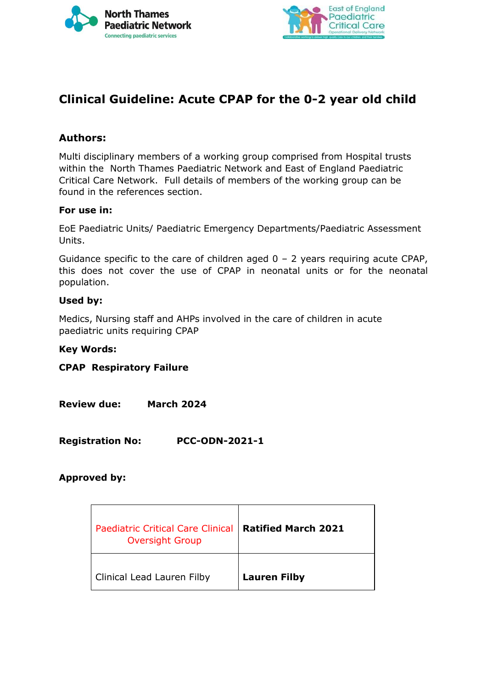



## **Clinical Guideline: Acute CPAP for the 0-2 year old child**

## **Authors:**

Multi disciplinary members of a working group comprised from Hospital trusts within the North Thames Paediatric Network and East of England Paediatric Critical Care Network. Full details of members of the working group can be found in the references section.

## **For use in:**

EoE Paediatric Units/ Paediatric Emergency Departments/Paediatric Assessment Units.

Guidance specific to the care of children aged  $0 - 2$  years requiring acute CPAP, this does not cover the use of CPAP in neonatal units or for the neonatal population.

## **Used by:**

Medics, Nursing staff and AHPs involved in the care of children in acute paediatric units requiring CPAP

### **Key Words:**

| <b>CPAP Respiratory Failure</b> |  |  |  |
|---------------------------------|--|--|--|
|---------------------------------|--|--|--|

- **Review due: March 2024**
- **Registration No: PCC-ODN-2021-1**

## **Approved by:**

| <b>Paediatric Critical Care Clinical  </b><br><b>Oversight Group</b> | <b>Ratified March 2021</b> |
|----------------------------------------------------------------------|----------------------------|
| Clinical Lead Lauren Filby                                           | <b>Lauren Filby</b>        |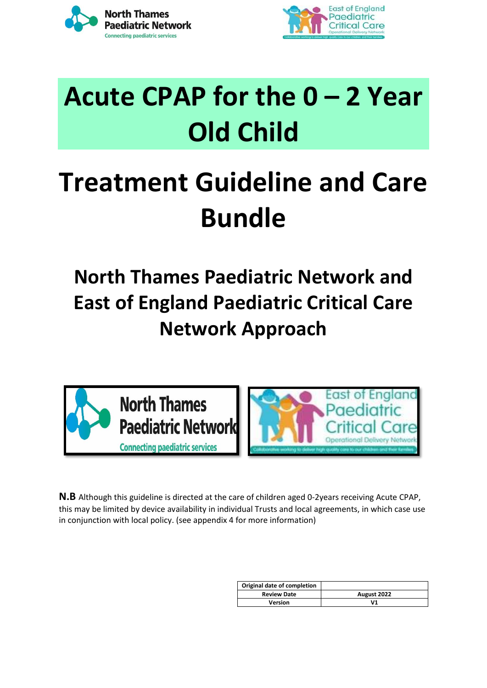



# **Acute CPAP for the 0 – 2 Year Old Child**

# **Treatment Guideline and Care Bundle**

**North Thames Paediatric Network and East of England Paediatric Critical Care Network Approach**





**N.B** Although this guideline is directed at the care of children aged 0-2years receiving Acute CPAP, this may be limited by device availability in individual Trusts and local agreements, in which case use in conjunction with local policy. (see appendix 4 for more information)

| Original date of completion |             |
|-----------------------------|-------------|
| <b>Review Date</b>          | August 2022 |
| Version                     | V1          |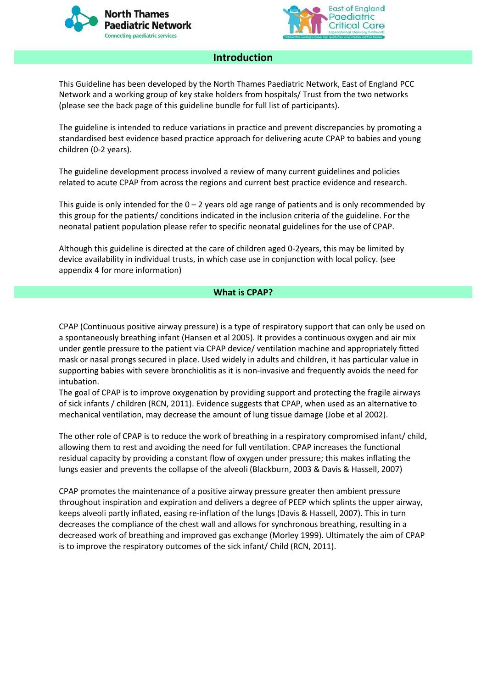



## **Introduction**

This Guideline has been developed by the North Thames Paediatric Network, East of England PCC Network and a working group of key stake holders from hospitals/ Trust from the two networks (please see the back page of this guideline bundle for full list of participants).

The guideline is intended to reduce variations in practice and prevent discrepancies by promoting a standardised best evidence based practice approach for delivering acute CPAP to babies and young children (0-2 years).

The guideline development process involved a review of many current guidelines and policies related to acute CPAP from across the regions and current best practice evidence and research.

This guide is only intended for the  $0 - 2$  years old age range of patients and is only recommended by this group for the patients/ conditions indicated in the inclusion criteria of the guideline. For the neonatal patient population please refer to specific neonatal guidelines for the use of CPAP.

Although this guideline is directed at the care of children aged 0-2years, this may be limited by device availability in individual trusts, in which case use in conjunction with local policy. (see appendix 4 for more information)

#### **What is CPAP?**

CPAP (Continuous positive airway pressure) is a type of respiratory support that can only be used on a spontaneously breathing infant (Hansen et al 2005). It provides a continuous oxygen and air mix under gentle pressure to the patient via CPAP device/ ventilation machine and appropriately fitted mask or nasal prongs secured in place. Used widely in adults and children, it has particular value in supporting babies with severe bronchiolitis as it is non-invasive and frequently avoids the need for intubation.

The goal of CPAP is to improve oxygenation by providing support and protecting the fragile airways of sick infants / children (RCN, 2011). Evidence suggests that CPAP, when used as an alternative to mechanical ventilation, may decrease the amount of lung tissue damage (Jobe et al 2002).

The other role of CPAP is to reduce the work of breathing in a respiratory compromised infant/ child, allowing them to rest and avoiding the need for full ventilation. CPAP increases the functional residual capacity by providing a constant flow of oxygen under pressure; this makes inflating the lungs easier and prevents the collapse of the alveoli (Blackburn, 2003 & Davis & Hassell, 2007)

CPAP promotes the maintenance of a positive airway pressure greater then ambient pressure throughout inspiration and expiration and delivers a degree of PEEP which splints the upper airway, keeps alveoli partly inflated, easing re-inflation of the lungs (Davis & Hassell, 2007). This in turn decreases the compliance of the chest wall and allows for synchronous breathing, resulting in a decreased work of breathing and improved gas exchange (Morley 1999). Ultimately the aim of CPAP is to improve the respiratory outcomes of the sick infant/ Child (RCN, 2011).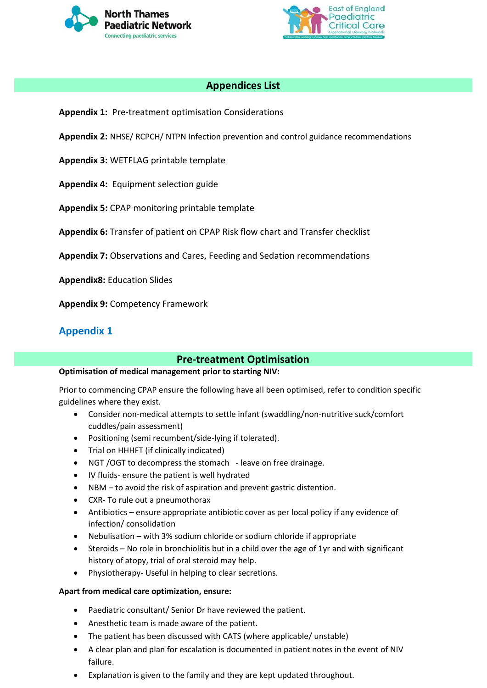



## **Appendices List**

- **Appendix 1:** Pre-treatment optimisation Considerations
- **Appendix 2:** NHSE/ RCPCH/ NTPN Infection prevention and control guidance recommendations
- **Appendix 3:** WETFLAG printable template
- **Appendix 4:** Equipment selection guide
- **Appendix 5:** CPAP monitoring printable template
- **Appendix 6:** Transfer of patient on CPAP Risk flow chart and Transfer checklist
- **Appendix 7:** Observations and Cares, Feeding and Sedation recommendations
- **Appendix8:** Education Slides
- **Appendix 9:** Competency Framework

## **Appendix 1**

### **Pre-treatment Optimisation**

#### **Optimisation of medical management prior to starting NIV:**

Prior to commencing CPAP ensure the following have all been optimised, refer to condition specific guidelines where they exist.

- Consider non-medical attempts to settle infant (swaddling/non-nutritive suck/comfort cuddles/pain assessment)
- Positioning (semi recumbent/side-lying if tolerated).
- Trial on HHHFT (if clinically indicated)
- NGT / OGT to decompress the stomach leave on free drainage.
- IV fluids- ensure the patient is well hydrated
- NBM to avoid the risk of aspiration and prevent gastric distention.
- CXR- To rule out a pneumothorax
- Antibiotics ensure appropriate antibiotic cover as per local policy if any evidence of infection/ consolidation
- Nebulisation with 3% sodium chloride or sodium chloride if appropriate
- Steroids No role in bronchiolitis but in a child over the age of 1yr and with significant history of atopy, trial of oral steroid may help.
- Physiotherapy- Useful in helping to clear secretions.

#### **Apart from medical care optimization, ensure:**

- Paediatric consultant/ Senior Dr have reviewed the patient.
- Anesthetic team is made aware of the patient.
- The patient has been discussed with CATS (where applicable/ unstable)
- A clear plan and plan for escalation is documented in patient notes in the event of NIV failure.
- Explanation is given to the family and they are kept updated throughout.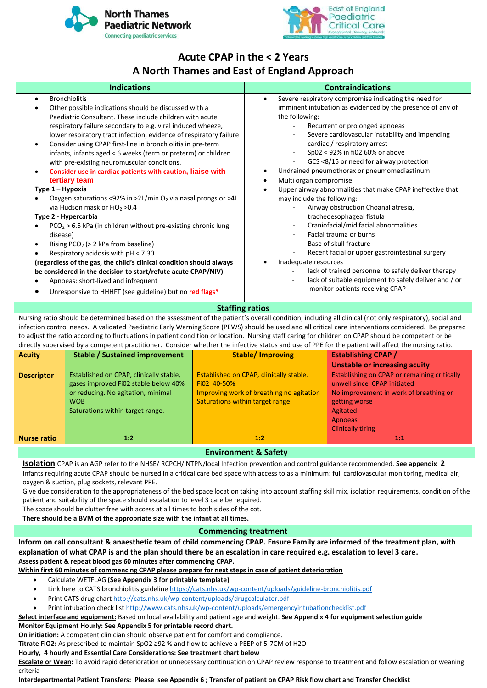



## **Acute CPAP in the < 2 Years**

## **A North Thames and East of England Approach**

| <b>Indications</b>                                                                                                                                                                                                                                                                                                                                                                                                                                                                                                                                                                                                                                                                                                                                                                                                                                                                                                                                                                                                                                                                                               | <b>Contraindications</b>                                                                                                                                                                                                                                                                                                                                                                                                                                                                                                                                                                                                                                                                                                                                                                                                                                                                                                                                                |  |  |  |
|------------------------------------------------------------------------------------------------------------------------------------------------------------------------------------------------------------------------------------------------------------------------------------------------------------------------------------------------------------------------------------------------------------------------------------------------------------------------------------------------------------------------------------------------------------------------------------------------------------------------------------------------------------------------------------------------------------------------------------------------------------------------------------------------------------------------------------------------------------------------------------------------------------------------------------------------------------------------------------------------------------------------------------------------------------------------------------------------------------------|-------------------------------------------------------------------------------------------------------------------------------------------------------------------------------------------------------------------------------------------------------------------------------------------------------------------------------------------------------------------------------------------------------------------------------------------------------------------------------------------------------------------------------------------------------------------------------------------------------------------------------------------------------------------------------------------------------------------------------------------------------------------------------------------------------------------------------------------------------------------------------------------------------------------------------------------------------------------------|--|--|--|
| <b>Bronchiolitis</b><br>Other possible indications should be discussed with a<br>Paediatric Consultant. These include children with acute<br>respiratory failure secondary to e.g. viral induced wheeze,<br>lower respiratory tract infection, evidence of respiratory failure<br>Consider using CPAP first-line in bronchiolitis in pre-term<br>infants, infants aged < 6 weeks (term or preterm) or children<br>with pre-existing neuromuscular conditions.<br>Consider use in cardiac patients with caution, liaise with<br>tertiary team<br>Type 1 - Hypoxia<br>Oxygen saturations <92% in >2L/min O2 via nasal prongs or >4L<br>via Hudson mask or FiO <sub>2</sub> > 0.4<br>Type 2 - Hypercarbia<br>$PCO2 > 6.5$ kPa (in children without pre-existing chronic lung<br>disease)<br>Rising $PCO2$ (> 2 kPa from baseline)<br>Respiratory acidosis with pH < 7.30<br>(regardless of the gas, the child's clinical condition should always<br>be considered in the decision to start/refute acute CPAP/NIV)<br>Apnoeas: short-lived and infrequent<br>Unresponsive to HHHFT (see guideline) but no red flags* | Severe respiratory compromise indicating the need for<br>$\bullet$<br>imminent intubation as evidenced by the presence of any of<br>the following:<br>Recurrent or prolonged apnoeas<br>Severe cardiovascular instability and impending<br>cardiac / respiratory arrest<br>Sp02 < 92% in fi02 60% or above<br>GCS <8/15 or need for airway protection<br>$\sim$<br>Undrained pneumothorax or pneumomediastinum<br>Multi organ compromise<br>٠<br>Upper airway abnormalities that make CPAP ineffective that<br>$\bullet$<br>may include the following:<br>Airway obstruction Choanal atresia,<br>tracheoesophageal fistula<br>Craniofacial/mid facial abnormalities<br>Facial trauma or burns<br>Base of skull fracture<br>Recent facial or upper gastrointestinal surgery<br>$\blacksquare$<br>Inadequate resources<br>lack of trained personnel to safely deliver therapy<br>lack of suitable equipment to safely deliver and / or<br>monitor patients receiving CPAP |  |  |  |
| <b>Staffing ratios</b>                                                                                                                                                                                                                                                                                                                                                                                                                                                                                                                                                                                                                                                                                                                                                                                                                                                                                                                                                                                                                                                                                           |                                                                                                                                                                                                                                                                                                                                                                                                                                                                                                                                                                                                                                                                                                                                                                                                                                                                                                                                                                         |  |  |  |

Nursing ratio should be determined based on the assessment of the patient's overall condition, including all clinical (not only respiratory), social and infection control needs. A validated Paediatric Early Warning Score (PEWS) should be used and all critical care interventions considered. Be prepared to adjust the ratio according to fluctuations in patient condition or location. Nursing staff caring for children on CPAP should be competent or be directly supervised by a competent practitioner. Consider whether the infective status and use of PPE for the patient will affect the nursing ratio.

| <b>Acuity</b>      | <b>Stable / Sustained improvement</b>                                      | <b>Stable/Improving</b>                                 | <b>Establishing CPAP /</b>                                            |
|--------------------|----------------------------------------------------------------------------|---------------------------------------------------------|-----------------------------------------------------------------------|
|                    |                                                                            |                                                         | <b>Unstable or increasing acuity</b>                                  |
| <b>Descriptor</b>  | Established on CPAP, clinically stable,                                    | Established on CPAP, clinically stable.                 | <b>Establishing on CPAP or remaining critically</b>                   |
|                    | gases improved Fi02 stable below 40%<br>or reducing. No agitation, minimal | Fi02 40-50%<br>Improving work of breathing no agitation | unwell since CPAP initiated<br>No improvement in work of breathing or |
|                    | <b>WOB</b>                                                                 | Saturations within target range                         | getting worse                                                         |
|                    | Saturations within target range.                                           |                                                         | Agitated                                                              |
|                    |                                                                            |                                                         | Apnoeas                                                               |
|                    |                                                                            |                                                         | <b>Clinically tiring</b>                                              |
| <b>Nurse ratio</b> | 1:2                                                                        | 1:2                                                     | 1:1                                                                   |

#### **Environment & Safety**

**Isolation** CPAP is an AGP refer to the NHSE/ RCPCH/ NTPN/local Infection prevention and control guidance recommended. **See appendix 2** Infants requiring acute CPAP should be nursed in a critical care bed space with access to as a minimum: full cardiovascular monitoring, medical air, oxygen & suction, plug sockets, relevant PPE.

Give due consideration to the appropriateness of the bed space location taking into account staffing skill mix, isolation requirements, condition of the patient and suitability of the space should escalation to level 3 care be required.

The space should be clutter free with access at all times to both sides of the cot.

**There should be a BVM of the appropriate size with the infant at all times.**

#### **Commencing treatment**

**Inform on call consultant & anaesthetic team of child commencing CPAP. Ensure Family are informed of the treatment plan, with explanation of what CPAP is and the plan should there be an escalation in care required e.g. escalation to level 3 care. Assess patient & repeat blood gas 60 minutes after commencing CPAP.** 

**Within first 60 minutes of commencing CPAP please prepare for next steps in case of patient deterioration** 

- Calculate WETFLAG **(See Appendix 3 for printable template)**
- Link here to CATS bronchiolitis guideline <https://cats.nhs.uk/wp-content/uploads/guideline-bronchiolitis.pdf>
- Print CATS drug chart <http://cats.nhs.uk/wp-content/uploads/drugcalculator.pdf>
- Print intubation check list<http://www.cats.nhs.uk/wp-content/uploads/emergencyintubationchecklist.pdf>

#### **Select interface and equipment:** Based on local availability and patient age and weight. **See Appendix 4 for equipment selection guide Monitor Equipment Hourly: See Appendix 5 for printable record chart.**

**On initiation:** A competent clinician should observe patient for comfort and compliance.

**Titrate FiO2:** As prescribed to maintain SpO2 ≥92 % and flow to achieve a PEEP of 5-7CM of H2O

#### **Hourly, 4 hourly and Essential Care Considerations: See treatment chart below**

**Escalate or Wean:** To avoid rapid deterioration or unnecessary continuation on CPAP review response to treatment and follow escalation or weaning criteria

#### **Interdepartmental Patient Transfers: Please see Appendix 6 ; Transfer of patient on CPAP Risk flow chart and Transfer Checklist**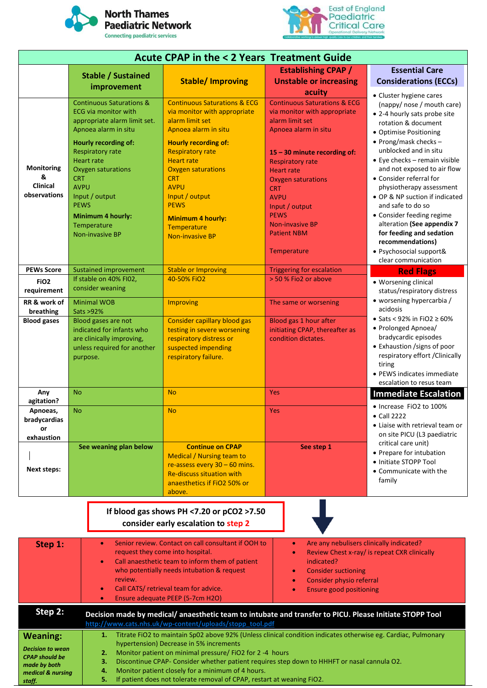

*staff.*



| <b>Acute CPAP in the &lt; 2 Years Treatment Guide</b>                                                              |                                                                                                                                                                                                                                                                                                                                                                                                                                                                                                                                              |                                                                                                                                                                                                                                                                                                                                                                          |                                                                                                                                                                                                                                                                                                                                                                          |                                                                                                                                                                                                                                                                                                                                                                                                                                                                                                                                             |
|--------------------------------------------------------------------------------------------------------------------|----------------------------------------------------------------------------------------------------------------------------------------------------------------------------------------------------------------------------------------------------------------------------------------------------------------------------------------------------------------------------------------------------------------------------------------------------------------------------------------------------------------------------------------------|--------------------------------------------------------------------------------------------------------------------------------------------------------------------------------------------------------------------------------------------------------------------------------------------------------------------------------------------------------------------------|--------------------------------------------------------------------------------------------------------------------------------------------------------------------------------------------------------------------------------------------------------------------------------------------------------------------------------------------------------------------------|---------------------------------------------------------------------------------------------------------------------------------------------------------------------------------------------------------------------------------------------------------------------------------------------------------------------------------------------------------------------------------------------------------------------------------------------------------------------------------------------------------------------------------------------|
|                                                                                                                    | <b>Stable / Sustained</b>                                                                                                                                                                                                                                                                                                                                                                                                                                                                                                                    |                                                                                                                                                                                                                                                                                                                                                                          | <b>Establishing CPAP /</b>                                                                                                                                                                                                                                                                                                                                               | <b>Essential Care</b>                                                                                                                                                                                                                                                                                                                                                                                                                                                                                                                       |
|                                                                                                                    | improvement                                                                                                                                                                                                                                                                                                                                                                                                                                                                                                                                  | <b>Stable/ Improving</b>                                                                                                                                                                                                                                                                                                                                                 | <b>Unstable or increasing</b>                                                                                                                                                                                                                                                                                                                                            | <b>Considerations (ECCs)</b>                                                                                                                                                                                                                                                                                                                                                                                                                                                                                                                |
| <b>Monitoring</b><br>&<br><b>Clinical</b><br>observations                                                          | <b>Continuous Saturations &amp;</b><br><b>ECG via monitor with</b><br>appropriate alarm limit set.<br>Apnoea alarm in situ<br>Hourly recording of:<br><b>Respiratory rate</b><br><b>Heart rate</b><br>Oxygen saturations<br><b>CRT</b><br><b>AVPU</b><br>Input / output<br><b>PEWS</b><br><b>Minimum 4 hourly:</b><br>Temperature<br><b>Non-invasive BP</b>                                                                                                                                                                                  | <b>Continuous Saturations &amp; ECG</b><br>via monitor with appropriate<br>alarm limit set<br>Apnoea alarm in situ<br><b>Hourly recording of:</b><br><b>Respiratory rate</b><br><b>Heart rate</b><br><b>Oxygen saturations</b><br><b>CRT</b><br><b>AVPU</b><br>Input / output<br><b>PEWS</b><br><b>Minimum 4 hourly:</b><br><b>Temperature</b><br><b>Non-invasive BP</b> | acuity<br><b>Continuous Saturations &amp; ECG</b><br>via monitor with appropriate<br>alarm limit set<br>Apnoea alarm in situ<br>$15 - 30$ minute recording of:<br><b>Respiratory rate</b><br><b>Heart rate</b><br><b>Oxygen saturations</b><br><b>CRT</b><br><b>AVPU</b><br>Input / output<br><b>PEWS</b><br><b>Non-invasive BP</b><br><b>Patient NBM</b><br>Temperature | • Cluster hygiene cares<br>(nappy/ nose / mouth care)<br>• 2-4 hourly sats probe site<br>rotation & document<br>• Optimise Positioning<br>$\bullet$ Prong/mask checks -<br>unblocked and in situ<br>• Eye checks - remain visible<br>and not exposed to air flow<br>• Consider referral for<br>physiotherapy assessment<br>• OP & NP suction if indicated<br>and safe to do so<br>• Consider feeding regime<br>alteration (See appendix 7<br>for feeding and sedation<br>recommendations)<br>· Psychosocial support&<br>clear communication |
| <b>PEWs Score</b>                                                                                                  | <b>Sustained improvement</b>                                                                                                                                                                                                                                                                                                                                                                                                                                                                                                                 | <b>Stable or Improving</b>                                                                                                                                                                                                                                                                                                                                               | <b>Triggering for escalation</b>                                                                                                                                                                                                                                                                                                                                         | <b>Red Flags</b>                                                                                                                                                                                                                                                                                                                                                                                                                                                                                                                            |
| FiO <sub>2</sub><br>requirement                                                                                    | If stable on 40% FI02,<br>consider weaning                                                                                                                                                                                                                                                                                                                                                                                                                                                                                                   | 40-50% FiO2                                                                                                                                                                                                                                                                                                                                                              | > 50 % Fio2 or above                                                                                                                                                                                                                                                                                                                                                     | • Worsening clinical<br>status/respiratory distress                                                                                                                                                                                                                                                                                                                                                                                                                                                                                         |
| RR & work of                                                                                                       | <b>Minimal WOB</b>                                                                                                                                                                                                                                                                                                                                                                                                                                                                                                                           | <b>Improving</b>                                                                                                                                                                                                                                                                                                                                                         | The same or worsening                                                                                                                                                                                                                                                                                                                                                    | • worsening hypercarbia /                                                                                                                                                                                                                                                                                                                                                                                                                                                                                                                   |
| breathing<br><b>Blood gases</b>                                                                                    | Sats >92%<br>Blood gases are not                                                                                                                                                                                                                                                                                                                                                                                                                                                                                                             | <b>Consider capillary blood gas</b>                                                                                                                                                                                                                                                                                                                                      | Blood gas 1 hour after                                                                                                                                                                                                                                                                                                                                                   | acidosis<br>• Sats < 92% in FiO2 $\geq 60\%$                                                                                                                                                                                                                                                                                                                                                                                                                                                                                                |
|                                                                                                                    | indicated for infants who<br>are clinically improving,<br>unless required for another<br>purpose.                                                                                                                                                                                                                                                                                                                                                                                                                                            | testing in severe worsening<br>respiratory distress or<br>suspected impending<br>respiratory failure.                                                                                                                                                                                                                                                                    | initiating CPAP, thereafter as<br>condition dictates.                                                                                                                                                                                                                                                                                                                    | • Prolonged Apnoea/<br>bradycardic episodes<br>• Exhaustion / signs of poor<br>respiratory effort / Clinically<br>tiring<br>• PEWS indicates immediate<br>escalation to resus team                                                                                                                                                                                                                                                                                                                                                          |
| Any<br>agitation?                                                                                                  | <b>No</b>                                                                                                                                                                                                                                                                                                                                                                                                                                                                                                                                    | <b>No</b>                                                                                                                                                                                                                                                                                                                                                                | <b>Yes</b>                                                                                                                                                                                                                                                                                                                                                               | <b>Immediate Escalation</b>                                                                                                                                                                                                                                                                                                                                                                                                                                                                                                                 |
| Apnoeas,<br>bradycardias<br>or<br>exhaustion                                                                       | <b>No</b><br>See weaning plan below                                                                                                                                                                                                                                                                                                                                                                                                                                                                                                          | <b>No</b><br><b>Continue on CPAP</b>                                                                                                                                                                                                                                                                                                                                     | <b>Yes</b><br>See step 1                                                                                                                                                                                                                                                                                                                                                 | • Increase FiO2 to 100%<br>• Call 2222<br>• Liaise with retrieval team or<br>on site PICU (L3 paediatric<br>critical care unit)<br>• Prepare for intubation                                                                                                                                                                                                                                                                                                                                                                                 |
| <b>Next steps:</b>                                                                                                 |                                                                                                                                                                                                                                                                                                                                                                                                                                                                                                                                              | Medical / Nursing team to<br>re-assess every $30 - 60$ mins.<br><b>Re-discuss situation with</b><br>anaesthetics if FiO2 50% or<br>above.                                                                                                                                                                                                                                |                                                                                                                                                                                                                                                                                                                                                                          | • Initiate STOPP Tool<br>• Communicate with the<br>family                                                                                                                                                                                                                                                                                                                                                                                                                                                                                   |
| If blood gas shows PH <7.20 or pCO2 >7.50<br>consider early escalation to step 2                                   |                                                                                                                                                                                                                                                                                                                                                                                                                                                                                                                                              |                                                                                                                                                                                                                                                                                                                                                                          |                                                                                                                                                                                                                                                                                                                                                                          |                                                                                                                                                                                                                                                                                                                                                                                                                                                                                                                                             |
| Step 1:                                                                                                            | $\bullet$<br>$\bullet$<br>review.<br>$\bullet$<br>$\bullet$                                                                                                                                                                                                                                                                                                                                                                                                                                                                                  | Senior review. Contact on call consultant if OOH to<br>request they come into hospital.<br>Call anaesthetic team to inform them of patient<br>who potentially needs intubation & request<br>Call CATS/ retrieval team for advice.<br>Ensure adequate PEEP (5-7cm H2O)                                                                                                    | Are any nebulisers clinically indicated?<br>$\bullet$<br>$\bullet$<br>indicated?<br><b>Consider suctioning</b><br>$\bullet$<br>Consider physio referral<br>$\bullet$<br><b>Ensure good positioning</b>                                                                                                                                                                   | Review Chest x-ray/ is repeat CXR clinically                                                                                                                                                                                                                                                                                                                                                                                                                                                                                                |
| Step 2:                                                                                                            | Decision made by medical/anaesthetic team to intubate and transfer to PICU. Please Initiate STOPP Tool                                                                                                                                                                                                                                                                                                                                                                                                                                       |                                                                                                                                                                                                                                                                                                                                                                          |                                                                                                                                                                                                                                                                                                                                                                          |                                                                                                                                                                                                                                                                                                                                                                                                                                                                                                                                             |
| <b>Weaning:</b><br><b>Decision to wean</b><br><b>CPAP</b> should be<br>made by both<br>medical & nursing<br>staff. | http://www.cats.nhs.uk/wp-content/uploads/stopp_tool.pdf<br>Titrate FiO2 to maintain Sp02 above 92% (Unless clinical condition indicates otherwise eg. Cardiac, Pulmonary<br>1.<br>hypertension) Decrease in 5% increments<br>Monitor patient on minimal pressure/ FiO2 for 2 -4 hours<br>2.<br>Discontinue CPAP- Consider whether patient requires step down to HHHFT or nasal cannula O2.<br>з.<br>Monitor patient closely for a minimum of 4 hours.<br>4.<br>5.<br>If patient does not tolerate removal of CPAP, restart at weaning FiO2. |                                                                                                                                                                                                                                                                                                                                                                          |                                                                                                                                                                                                                                                                                                                                                                          |                                                                                                                                                                                                                                                                                                                                                                                                                                                                                                                                             |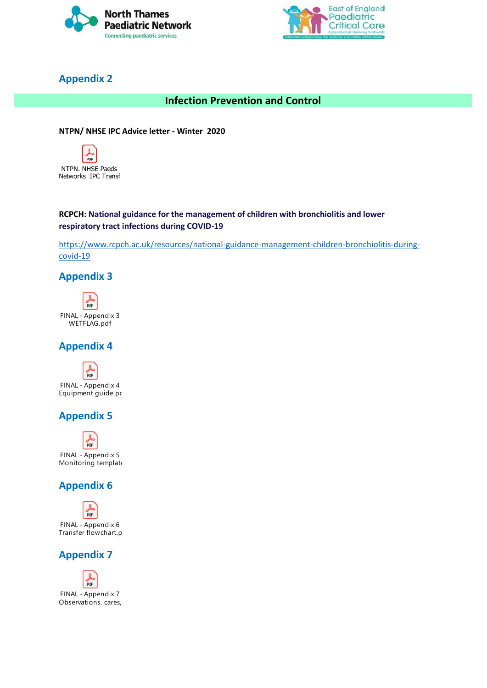



## **Appendix 2**

## **Infection Prevention and Control**

#### **NTPN/ NHSE IPC Advice letter - Winter 2020**



## **RCPCH: National guidance for the management of children with bronchiolitis and lower respiratory tract infections during COVID-19**

[https://www.rcpch.ac.uk/resources/national-guidance-management-children-bronchiolitis-during](https://www.rcpch.ac.uk/resources/national-guidance-management-children-bronchiolitis-during-covid-19)[covid-19](https://www.rcpch.ac.uk/resources/national-guidance-management-children-bronchiolitis-during-covid-19)

**Appendix 3**



## **Appendix 4**



## **Appendix 5**



FINAL - Appendix 5 Monitoring template

## **Appendix 6**



## **Appendix 7**

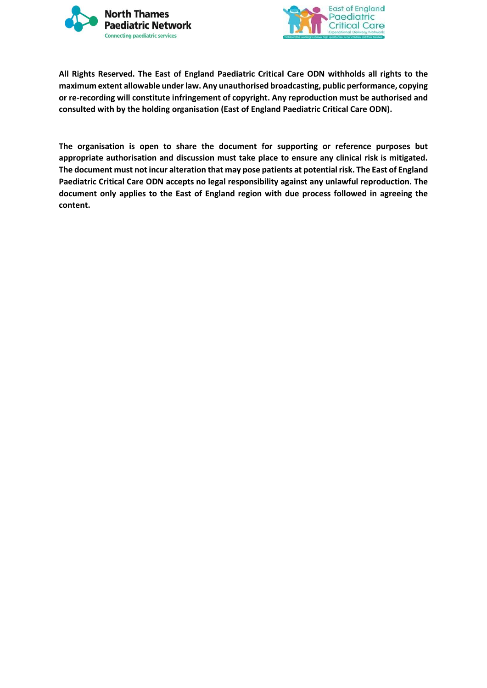



**All Rights Reserved. The East of England Paediatric Critical Care ODN withholds all rights to the maximum extent allowable under law. Any unauthorised broadcasting, public performance, copying or re-recording will constitute infringement of copyright. Any reproduction must be authorised and consulted with by the holding organisation (East of England Paediatric Critical Care ODN).**

**The organisation is open to share the document for supporting or reference purposes but appropriate authorisation and discussion must take place to ensure any clinical risk is mitigated. The document must not incur alteration that may pose patients at potential risk. The East of England Paediatric Critical Care ODN accepts no legal responsibility against any unlawful reproduction. The document only applies to the East of England region with due process followed in agreeing the content.**